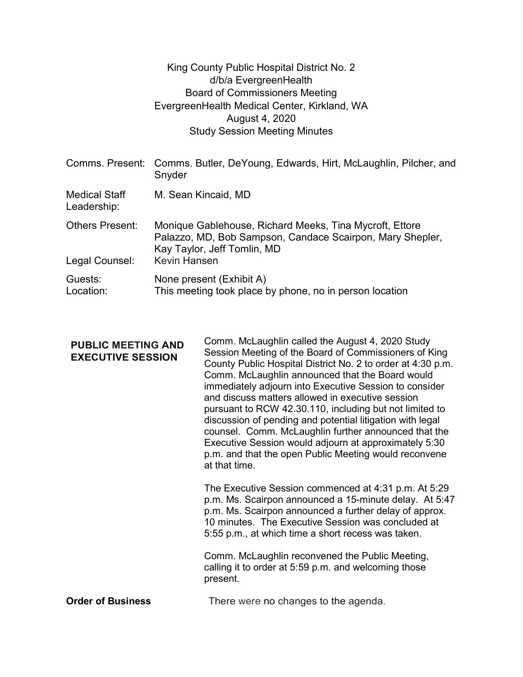|                                     | King County Public Hospital District No. 2<br>d/b/a EvergreenHealth<br><b>Board of Commissioners Meeting</b><br>EvergreenHealth Medical Center, Kirkland, WA<br>August 4, 2020<br><b>Study Session Meeting Minutes</b> |
|-------------------------------------|------------------------------------------------------------------------------------------------------------------------------------------------------------------------------------------------------------------------|
| Comms. Present:                     | Comms. Butler, DeYoung, Edwards, Hirt, McLaughlin, Pilcher, and<br>Snyder                                                                                                                                              |
| <b>Medical Staff</b><br>Leadership: | M. Sean Kincaid, MD                                                                                                                                                                                                    |
| Others Present:<br>Legal Counsel:   | Monique Gablehouse, Richard Meeks, Tina Mycroft, Ettore<br>Palazzo, MD, Bob Sampson, Candace Scairpon, Mary Shepler,<br>Kay Taylor, Jeff Tomlin, MD<br><b>Kevin Hansen</b>                                             |
| Guests:<br>Location:                | None present (Exhibit A)<br>This meeting took place by phone, no in person location                                                                                                                                    |

| <b>PUBLIC MEETING AND</b><br><b>EXECUTIVE SESSION</b> | Comm. McLaughlin called the August 4, 2020 Study<br>Session Meeting of the Board of Commissioners of King<br>County Public Hospital District No. 2 to order at 4:30 p.m.<br>Comm. McLaughlin announced that the Board would<br>immediately adjourn into Executive Session to consider<br>and discuss matters allowed in executive session<br>pursuant to RCW 42.30.110, including but not limited to<br>discussion of pending and potential litigation with legal<br>counsel. Comm. McLaughlin further announced that the<br>Executive Session would adjourn at approximately 5:30<br>p.m. and that the open Public Meeting would reconvene<br>at that time. |
|-------------------------------------------------------|--------------------------------------------------------------------------------------------------------------------------------------------------------------------------------------------------------------------------------------------------------------------------------------------------------------------------------------------------------------------------------------------------------------------------------------------------------------------------------------------------------------------------------------------------------------------------------------------------------------------------------------------------------------|
|                                                       | The Executive Session commenced at 4:31 p.m. At 5:29<br>p.m. Ms. Scairpon announced a 15-minute delay. At 5:47<br>p.m. Ms. Scairpon announced a further delay of approx.<br>10 minutes. The Executive Session was concluded at<br>5:55 p.m., at which time a short recess was taken.                                                                                                                                                                                                                                                                                                                                                                         |
|                                                       | Comm. McLaughlin reconvened the Public Meeting,<br>calling it to order at 5:59 p.m. and welcoming those<br>present.                                                                                                                                                                                                                                                                                                                                                                                                                                                                                                                                          |

Order of Business There were no changes to the agenda.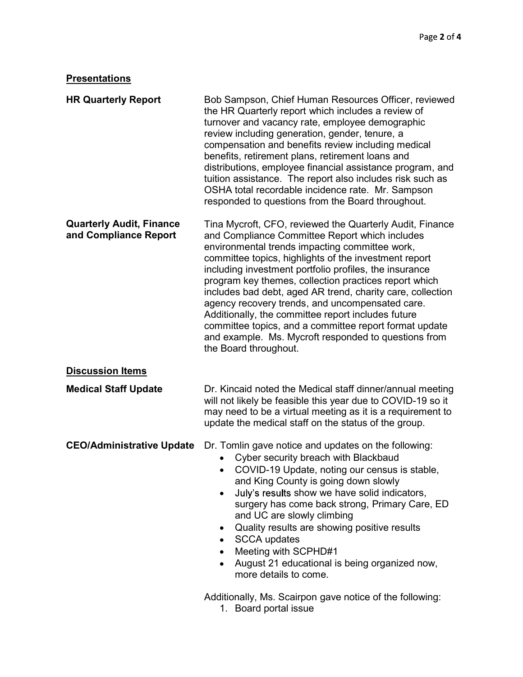## **Presentations**

| <b>HR Quarterly Report</b>                               | Bob Sampson, Chief Human Resources Officer, reviewed<br>the HR Quarterly report which includes a review of<br>turnover and vacancy rate, employee demographic<br>review including generation, gender, tenure, a<br>compensation and benefits review including medical<br>benefits, retirement plans, retirement loans and<br>distributions, employee financial assistance program, and<br>tuition assistance. The report also includes risk such as<br>OSHA total recordable incidence rate. Mr. Sampson<br>responded to questions from the Board throughout.                                                                                              |  |
|----------------------------------------------------------|------------------------------------------------------------------------------------------------------------------------------------------------------------------------------------------------------------------------------------------------------------------------------------------------------------------------------------------------------------------------------------------------------------------------------------------------------------------------------------------------------------------------------------------------------------------------------------------------------------------------------------------------------------|--|
| <b>Quarterly Audit, Finance</b><br>and Compliance Report | Tina Mycroft, CFO, reviewed the Quarterly Audit, Finance<br>and Compliance Committee Report which includes<br>environmental trends impacting committee work,<br>committee topics, highlights of the investment report<br>including investment portfolio profiles, the insurance<br>program key themes, collection practices report which<br>includes bad debt, aged AR trend, charity care, collection<br>agency recovery trends, and uncompensated care.<br>Additionally, the committee report includes future<br>committee topics, and a committee report format update<br>and example. Ms. Mycroft responded to questions from<br>the Board throughout. |  |
| <b>Discussion Items</b>                                  |                                                                                                                                                                                                                                                                                                                                                                                                                                                                                                                                                                                                                                                            |  |
| <b>Medical Staff Update</b>                              | Dr. Kincaid noted the Medical staff dinner/annual meeting<br>will not likely be feasible this year due to COVID-19 so it<br>may need to be a virtual meeting as it is a requirement to<br>update the medical staff on the status of the group.                                                                                                                                                                                                                                                                                                                                                                                                             |  |
| <b>CEO/Administrative Update</b>                         | Dr. Tomlin gave notice and updates on the following:<br>Cyber security breach with Blackbaud<br>COVID-19 Update, noting our census is stable,<br>and King County is going down slowly<br>July's results show we have solid indicators,<br>surgery has come back strong, Primary Care, ED<br>and UC are slowly climbing<br>Quality results are showing positive results<br>٠<br><b>SCCA updates</b><br>Meeting with SCPHD#1<br>August 21 educational is being organized now,<br>more details to come.                                                                                                                                                       |  |
|                                                          | Additionally, Ms. Scairpon gave notice of the following:<br>1. Board portal issue                                                                                                                                                                                                                                                                                                                                                                                                                                                                                                                                                                          |  |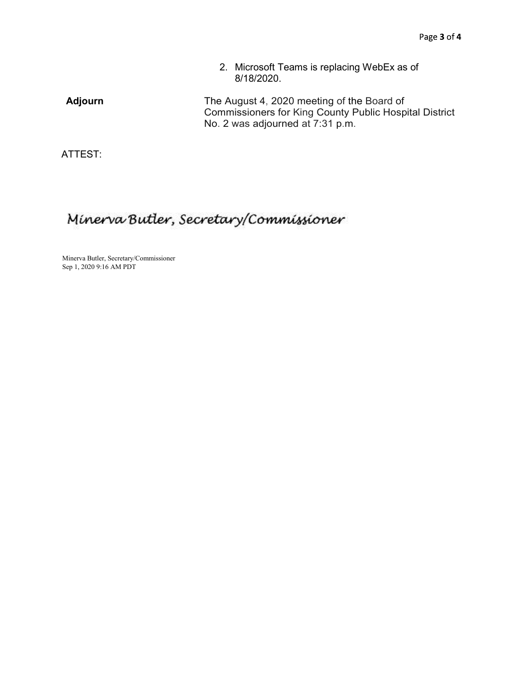2. Microsoft Teams is replacing WebEx as of 8/18/2020.

Adjourn The August 4, 2020 meeting of the Board of Commissioners for King County Public Hospital District No. 2 was adjourned at 7:31 p.m.

ATTEST:

## Minerva Butler, Secretary/Commissioner

Minerva Butler, Secretary/Commissioner Sep 1, 2020 9:16 AM PDT